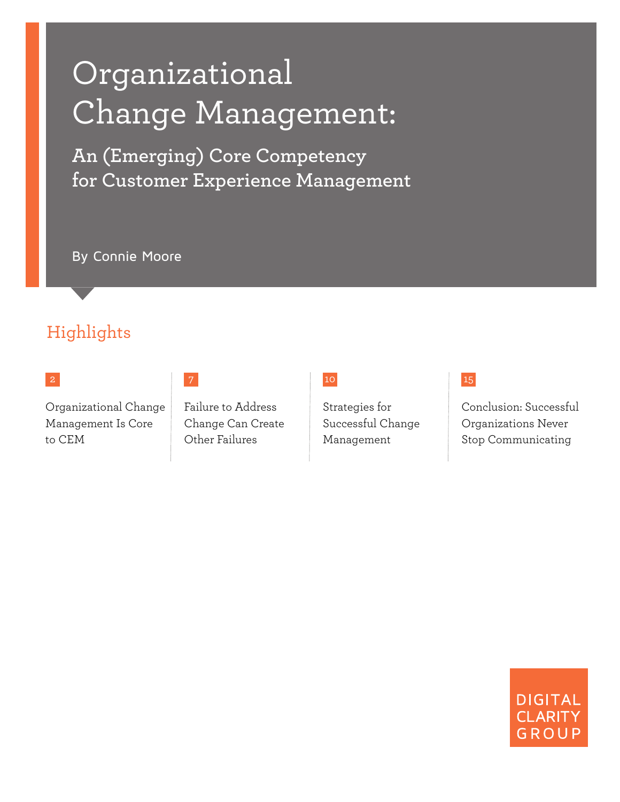# Organizational Change Management:

**An (Emerging) Core Competency for Customer Experience Management** 

By Connie Moore

## Highlights

### 2

Organizational Change Management Is Core to CEM

Failure to Address Change Can Create Other Failures

#### 10

Strategies for Successful Change Management

### 15

Conclusion: Successful Organizations Never Stop Communicating

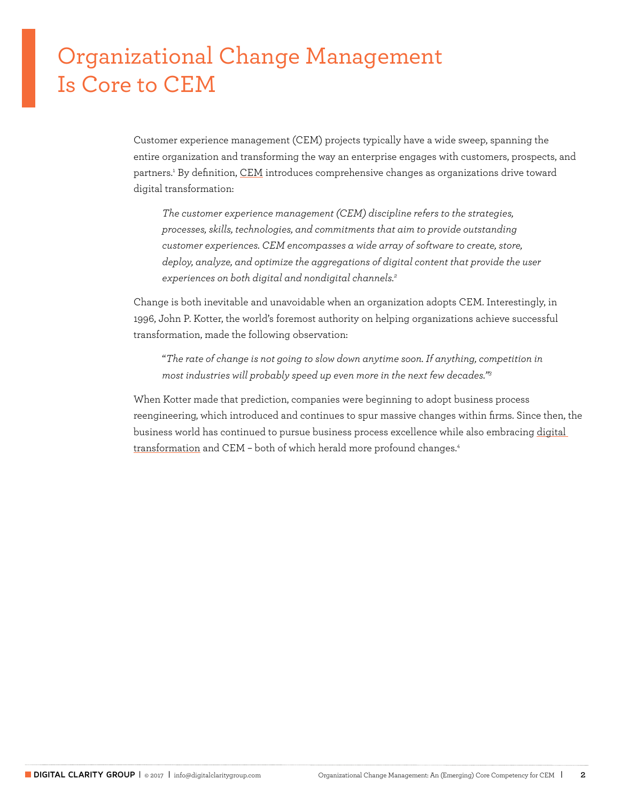## Organizational Change Management Is Core to CEM

Customer experience management (CEM) projects typically have a wide sweep, spanning the entire organization and transforming the way an enterprise engages with customers, prospects, and partners.<sup>1</sup> By definition, <u>CEM</u> introduces comprehensive changes as organizations drive toward digital transformation:

*The customer experience management (CEM) discipline refers to the strategies, processes, skills, technologies, and commitments that aim to provide outstanding customer experiences. CEM encompasses a wide array of software to create, store, deploy, analyze, and optimize the aggregations of digital content that provide the user experiences on both digital and nondigital channels.2*

Change is both inevitable and unavoidable when an organization adopts CEM. Interestingly, in 1996, John P. Kotter, the world's foremost authority on helping organizations achieve successful transformation, made the following observation:

"*The rate of change is not going to slow down anytime soon. If anything, competition in most industries will probably speed up even more in the next few decades."3*

When Kotter made that prediction, companies were beginning to adopt business process reengineering, which introduced and continues to spur massive changes within firms. Since then, the business world has continued to pursue business process excellence while also embracing [digital](http://www.digitalclaritygroup.com/transform-customer-experience-and-operational-excellence-by-going-digital-outside-and-inside/)  [transformation](http://www.digitalclaritygroup.com/transform-customer-experience-and-operational-excellence-by-going-digital-outside-and-inside/) and CEM – both of which herald more profound changes.4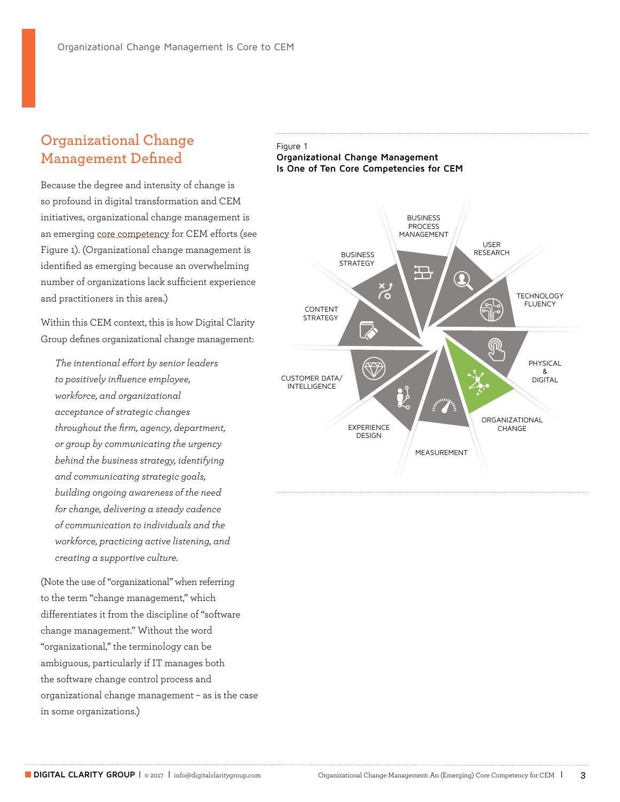### **Organizational Change Management Defined**

Because the degree and intensity of change is so profound in digital transformation and CEM initiatives, organizational change management is an emerging [core competency](http://www.digitalclaritygroup.com/customer-experience-management-ten-core-competencies/) for CEM efforts (see Figure 1). (Organizational change management is identified as emerging because an overwhelming number of organizations lack sufficient experience and practitioners in this area.)

Within this CEM context, this is how Digital Clarity Group defines organizational change management:

*The intentional effort by senior leaders to positively influence employee, workforce, and organizational acceptance of strategic changes throughout the firm, agency, department, or group by communicating the urgency behind the business strategy, identifying and communicating strategic goals, building ongoing awareness of the need for change, delivering a steady cadence of communication to individuals and the workforce, practicing active listening, and creating a supportive culture.* 

(Note the use of "organizational" when referring to the term "change management," which differentiates it from the discipline of "software change management." Without the word "organizational," the terminology can be ambiguous, particularly if IT manages both the software change control process and organizational change management – as is the case in some organizations.)



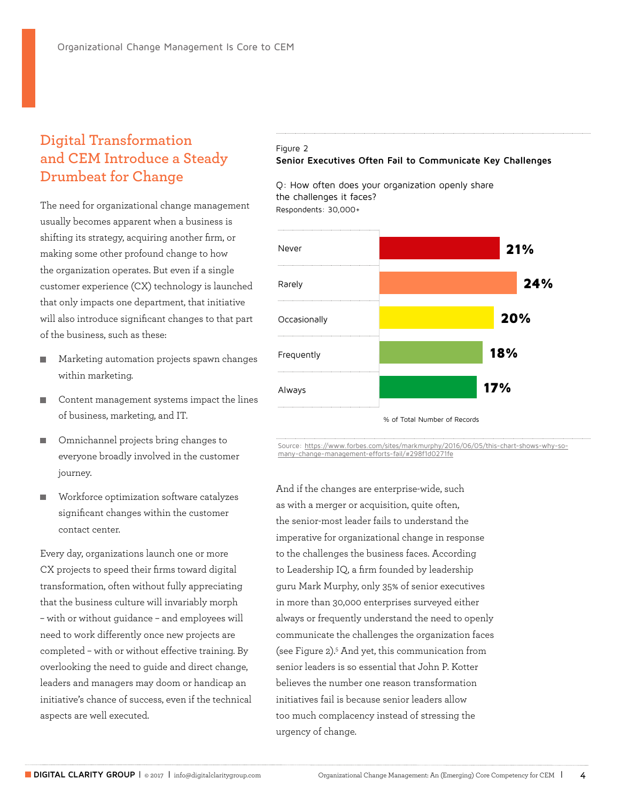## **Digital Transformation and CEM Introduce a Steady Drumbeat for Change**

The need for organizational change management usually becomes apparent when a business is shifting its strategy, acquiring another firm, or making some other profound change to how the organization operates. But even if a single customer experience (CX) technology is launched that only impacts one department, that initiative will also introduce significant changes to that part of the business, such as these:

- **Marketing automation projects spawn changes** within marketing.
- Content management systems impact the lines of business, marketing, and IT.
- Omnichannel projects bring changes to everyone broadly involved in the customer journey.
- Workforce optimization software catalyzes significant changes within the customer contact center.

Every day, organizations launch one or more CX projects to speed their firms toward digital transformation, often without fully appreciating that the business culture will invariably morph – with or without guidance – and employees will need to work differently once new projects are completed – with or without effective training. By overlooking the need to guide and direct change, leaders and managers may doom or handicap an initiative's chance of success, even if the technical aspects are well executed.

#### Figure 2 **Senior Executives Often Fail to Communicate Key Challenges**

Q: How often does your organization openly share the challenges it faces? Respondents: 30,000+



Source: https://www.forbes.com/sites/markmurphy/2016/06/05/this-chart-shows-why-somany-change-management-efforts-fail/#298f1d0271fe

And if the changes are enterprise-wide, such as with a merger or acquisition, quite often, the senior-most leader fails to understand the imperative for organizational change in response to the challenges the business faces. According to Leadership IQ, a firm founded by leadership guru Mark Murphy, only 35% of senior executives in more than 30,000 enterprises surveyed either always or frequently understand the need to openly communicate the challenges the organization faces (see Figure 2).5 And yet, this communication from senior leaders is so essential that John P. Kotter believes the number one reason transformation initiatives fail is because senior leaders allow too much complacency instead of stressing the urgency of change.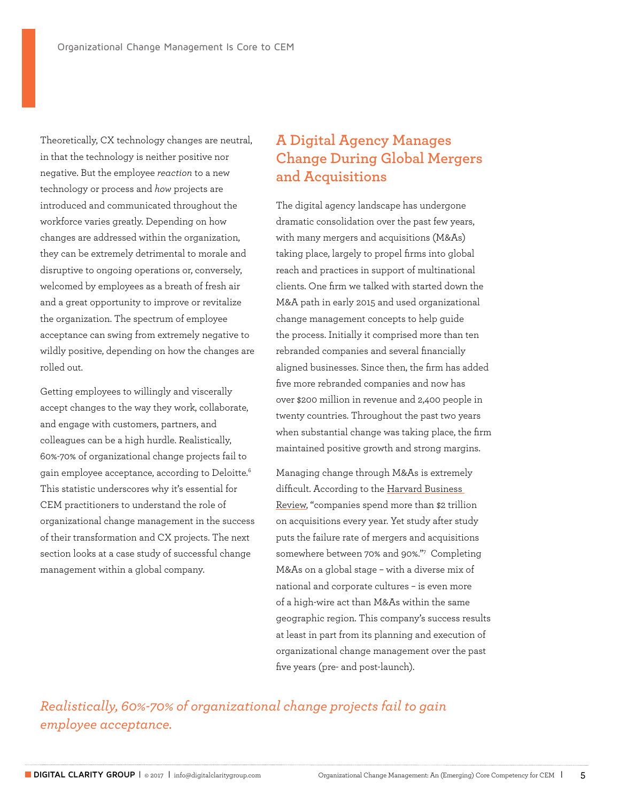Theoretically, CX technology changes are neutral, in that the technology is neither positive nor negative. But the employee *reaction* to a new technology or process and *how* projects are introduced and communicated throughout the workforce varies greatly. Depending on how changes are addressed within the organization, they can be extremely detrimental to morale and disruptive to ongoing operations or, conversely, welcomed by employees as a breath of fresh air and a great opportunity to improve or revitalize the organization. The spectrum of employee acceptance can swing from extremely negative to wildly positive, depending on how the changes are rolled out.

Getting employees to willingly and viscerally accept changes to the way they work, collaborate, and engage with customers, partners, and colleagues can be a high hurdle. Realistically, 60%-70% of organizational change projects fail to gain employee acceptance, according to Deloitte.6 This statistic underscores why it's essential for CEM practitioners to understand the role of organizational change management in the success of their transformation and CX projects. The next section looks at a case study of successful change management within a global company.

## **A Digital Agency Manages Change During Global Mergers and Acquisitions**

The digital agency landscape has undergone dramatic consolidation over the past few years, with many mergers and acquisitions (M&As) taking place, largely to propel firms into global reach and practices in support of multinational clients. One firm we talked with started down the M&A path in early 2015 and used organizational change management concepts to help guide the process. Initially it comprised more than ten rebranded companies and several financially aligned businesses. Since then, the firm has added five more rebranded companies and now has over \$200 million in revenue and 2,400 people in twenty countries. Throughout the past two years when substantial change was taking place, the firm maintained positive growth and strong margins.

Managing change through M&As is extremely difficult. According to the Harvard Business [Review](https://hbr.org/2011/03/the-big-idea-the-new-ma-playbook), "companies spend more than \$2 trillion on acquisitions every year. Yet study after study puts the failure rate of mergers and acquisitions somewhere between 70% and 90%."7 Completing M&As on a global stage – with a diverse mix of national and corporate cultures – is even more of a high-wire act than M&As within the same geographic region. This company's success results at least in part from its planning and execution of organizational change management over the past five years (pre- and post-launch).

*Realistically, 60%-70% of organizational change projects fail to gain employee acceptance.*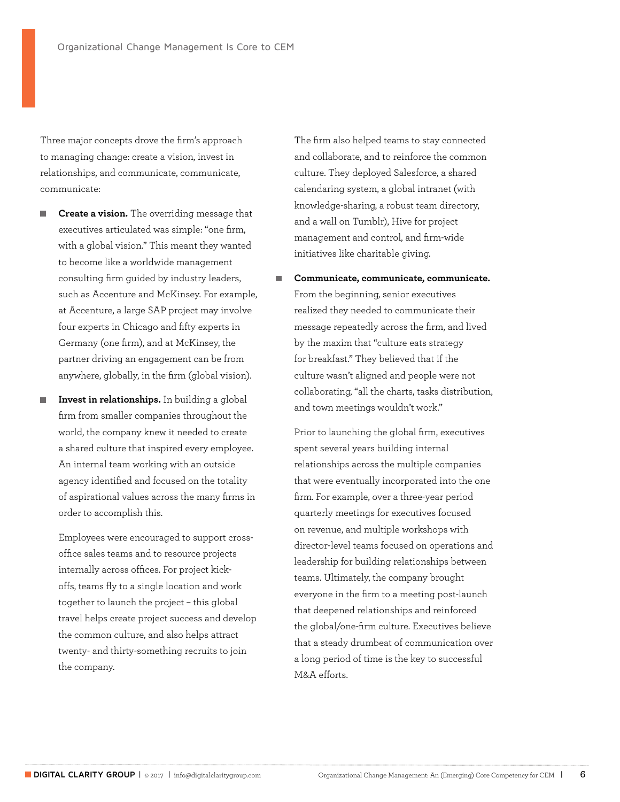Three major concepts drove the firm's approach to managing change: create a vision, invest in relationships, and communicate, communicate, communicate:

- **Create a vision.** The overriding message that executives articulated was simple: "one firm, with a global vision." This meant they wanted to become like a worldwide management consulting firm guided by industry leaders, such as Accenture and McKinsey. For example, at Accenture, a large SAP project may involve four experts in Chicago and fifty experts in Germany (one firm), and at McKinsey, the partner driving an engagement can be from anywhere, globally, in the firm (global vision).
- **Invest in relationships.** In building a global firm from smaller companies throughout the world, the company knew it needed to create a shared culture that inspired every employee. An internal team working with an outside agency identified and focused on the totality of aspirational values across the many firms in order to accomplish this.

Employees were encouraged to support crossoffice sales teams and to resource projects internally across offices. For project kickoffs, teams fly to a single location and work together to launch the project – this global travel helps create project success and develop the common culture, and also helps attract twenty- and thirty-something recruits to join the company.

The firm also helped teams to stay connected and collaborate, and to reinforce the common culture. They deployed Salesforce, a shared calendaring system, a global intranet (with knowledge-sharing, a robust team directory, and a wall on Tumblr), Hive for project management and control, and firm-wide initiatives like charitable giving.

 **Communicate, communicate, communicate.**  From the beginning, senior executives realized they needed to communicate their message repeatedly across the firm, and lived by the maxim that "culture eats strategy for breakfast." They believed that if the culture wasn't aligned and people were not collaborating, "all the charts, tasks distribution, and town meetings wouldn't work."

Prior to launching the global firm, executives spent several years building internal relationships across the multiple companies that were eventually incorporated into the one firm. For example, over a three-year period quarterly meetings for executives focused on revenue, and multiple workshops with director-level teams focused on operations and leadership for building relationships between teams. Ultimately, the company brought everyone in the firm to a meeting post-launch that deepened relationships and reinforced the global/one-firm culture. Executives believe that a steady drumbeat of communication over a long period of time is the key to successful M&A efforts.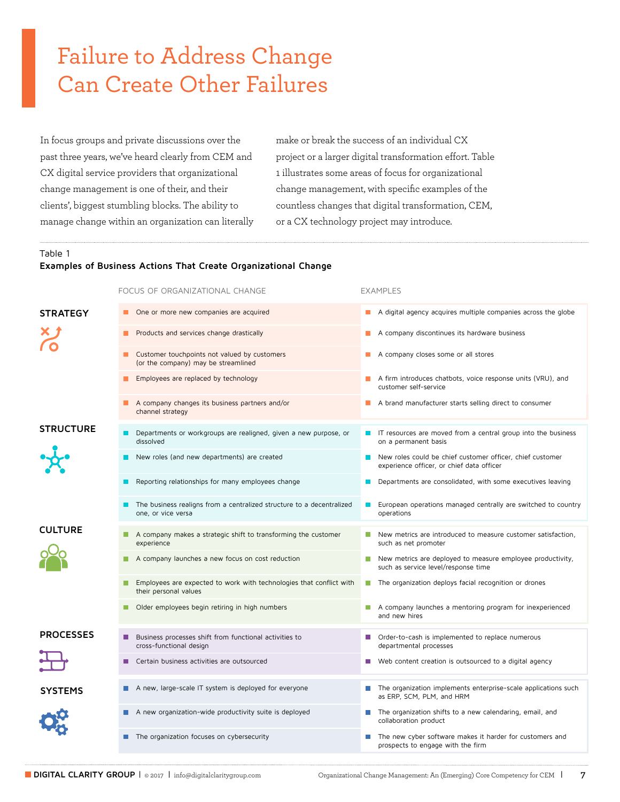## Failure to Address Change Can Create Other Failures

In focus groups and private discussions over the past three years, we've heard clearly from CEM and CX digital service providers that organizational change management is one of their, and their clients', biggest stumbling blocks. The ability to manage change within an organization can literally make or break the success of an individual CX project or a larger digital transformation effort. Table 1 illustrates some areas of focus for organizational change management, with specific examples of the countless changes that digital transformation, CEM, or a CX technology project may introduce.

#### Table 1 **Examples of Business Actions That Create Organizational Change**

|                  | FOCUS OF ORGANIZATIONAL CHANGE                                                                      | <b>EXAMPLES</b>                                                                                        |
|------------------|-----------------------------------------------------------------------------------------------------|--------------------------------------------------------------------------------------------------------|
| <b>STRATEGY</b>  | One or more new companies are acquired<br>ш                                                         | A digital agency acquires multiple companies across the globe                                          |
|                  | Products and services change drastically                                                            | A company discontinues its hardware business                                                           |
|                  | Customer touchpoints not valued by customers<br>(or the company) may be streamlined                 | A company closes some or all stores                                                                    |
|                  | Employees are replaced by technology<br>H.                                                          | $\blacksquare$ A firm introduces chatbots, voice response units (VRU), and<br>customer self-service    |
|                  | A company changes its business partners and/or<br>channel strategy                                  | A brand manufacturer starts selling direct to consumer                                                 |
| <b>STRUCTURE</b> | Departments or workgroups are realigned, given a new purpose, or<br>dissolved                       | $\blacksquare$ IT resources are moved from a central group into the business<br>on a permanent basis   |
|                  | New roles (and new departments) are created                                                         | New roles could be chief customer officer, chief customer<br>experience officer, or chief data officer |
|                  | Reporting relationships for many employees change                                                   | Departments are consolidated, with some executives leaving                                             |
|                  | The business realigns from a centralized structure to a decentralized<br>one, or vice versa         | European operations managed centrally are switched to country<br>a sa<br>operations                    |
| <b>CULTURE</b>   |                                                                                                     |                                                                                                        |
|                  | A company makes a strategic shift to transforming the customer<br>experience                        | New metrics are introduced to measure customer satisfaction,<br>such as net promoter                   |
|                  | A company launches a new focus on cost reduction<br>u.                                              | New metrics are deployed to measure employee productivity,<br>such as service level/response time      |
|                  | Employees are expected to work with technologies that conflict with<br>T I<br>their personal values | The organization deploys facial recognition or drones                                                  |
|                  | Older employees begin retiring in high numbers                                                      | A company launches a mentoring program for inexperienced<br>and new hires                              |
| <b>PROCESSES</b> | Business processes shift from functional activities to<br>٠<br>cross-functional design              | Order-to-cash is implemented to replace numerous<br>H.<br>departmental processes                       |
|                  | Certain business activities are outsourced                                                          | Web content creation is outsourced to a digital agency                                                 |
| SYSTEMS          | A new, large-scale IT system is deployed for everyone                                               | The organization implements enterprise-scale applications such<br>as ERP, SCM, PLM, and HRM            |
|                  | A new organization-wide productivity suite is deployed                                              | The organization shifts to a new calendaring, email, and<br>collaboration product                      |
|                  | The organization focuses on cybersecurity                                                           | The new cyber software makes it harder for customers and<br>prospects to engage with the firm          |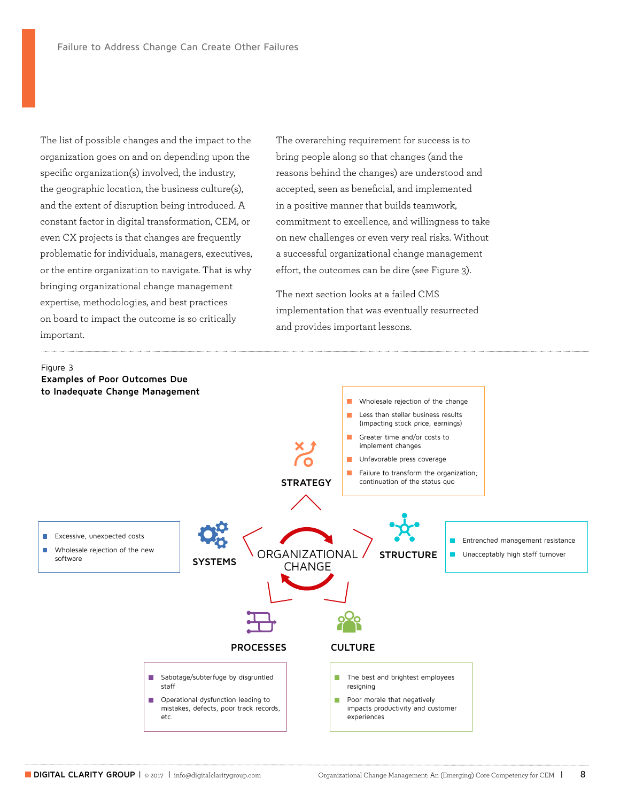The list of possible changes and the impact to the organization goes on and on depending upon the specific organization(s) involved, the industry, the geographic location, the business culture(s), and the extent of disruption being introduced. A constant factor in digital transformation, CEM, or even CX projects is that changes are frequently problematic for individuals, managers, executives, or the entire organization to navigate. That is why bringing organizational change management expertise, methodologies, and best practices on board to impact the outcome is so critically important.

The overarching requirement for success is to bring people along so that changes (and the reasons behind the changes) are understood and accepted, seen as beneficial, and implemented in a positive manner that builds teamwork, commitment to excellence, and willingness to take on new challenges or even very real risks. Without a successful organizational change management effort, the outcomes can be dire (see Figure 3).

The next section looks at a failed CMS implementation that was eventually resurrected and provides important lessons.

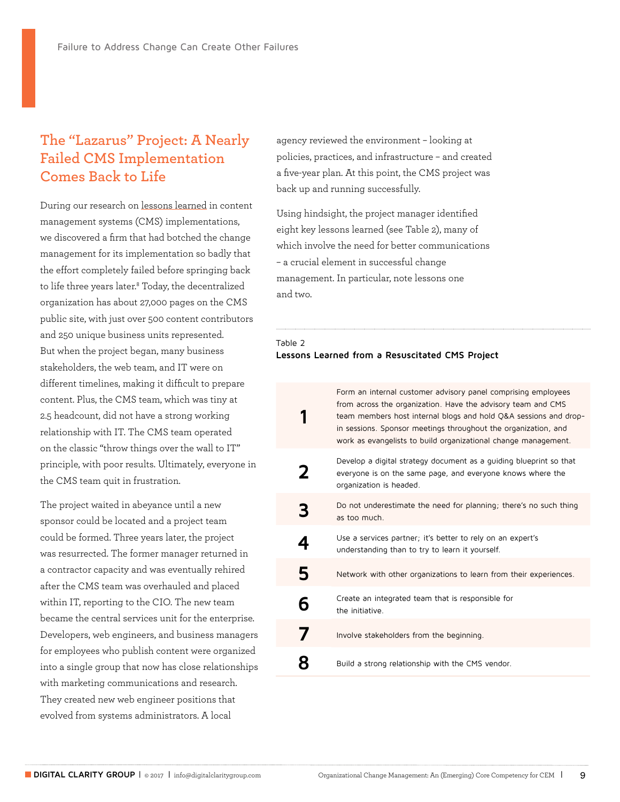## **The "Lazarus" Project: A Nearly Failed CMS Implementation Comes Back to Life**

During our research on [lessons learned](http://www.digitalclaritygroup.com/seven-crucial-lessons-cms/) in content management systems (CMS) implementations, we discovered a firm that had botched the change management for its implementation so badly that the effort completely failed before springing back to life three years later.8 Today, the decentralized organization has about 27,000 pages on the CMS public site, with just over 500 content contributors and 250 unique business units represented. But when the project began, many business stakeholders, the web team, and IT were on different timelines, making it difficult to prepare content. Plus, the CMS team, which was tiny at 2.5 headcount, did not have a strong working relationship with IT. The CMS team operated on the classic "throw things over the wall to IT" principle, with poor results. Ultimately, everyone in the CMS team quit in frustration.

The project waited in abeyance until a new sponsor could be located and a project team could be formed. Three years later, the project was resurrected. The former manager returned in a contractor capacity and was eventually rehired after the CMS team was overhauled and placed within IT, reporting to the CIO. The new team became the central services unit for the enterprise. Developers, web engineers, and business managers for employees who publish content were organized into a single group that now has close relationships with marketing communications and research. They created new web engineer positions that evolved from systems administrators. A local

agency reviewed the environment – looking at policies, practices, and infrastructure – and created a five-year plan. At this point, the CMS project was back up and running successfully.

Using hindsight, the project manager identified eight key lessons learned (see Table 2), many of which involve the need for better communications – a crucial element in successful change management. In particular, note lessons one and two.

#### Table 2 **Lessons Learned from a Resuscitated CMS Project**

|   | Form an internal customer advisory panel comprising employees<br>from across the organization. Have the advisory team and CMS<br>team members host internal blogs and hold Q&A sessions and drop-<br>in sessions. Sponsor meetings throughout the organization, and<br>work as evangelists to build organizational change management. |
|---|---------------------------------------------------------------------------------------------------------------------------------------------------------------------------------------------------------------------------------------------------------------------------------------------------------------------------------------|
| 2 | Develop a digital strategy document as a quiding blueprint so that<br>everyone is on the same page, and everyone knows where the<br>organization is headed.                                                                                                                                                                           |
| 3 | Do not underestimate the need for planning; there's no such thing<br>as too much.                                                                                                                                                                                                                                                     |
| 4 | Use a services partner; it's better to rely on an expert's<br>understanding than to try to learn it yourself.                                                                                                                                                                                                                         |
| 5 | Network with other organizations to learn from their experiences.                                                                                                                                                                                                                                                                     |
| 6 | Create an integrated team that is responsible for<br>the initiative.                                                                                                                                                                                                                                                                  |
| 7 | Involve stakeholders from the beginning.                                                                                                                                                                                                                                                                                              |
|   | Build a strong relationship with the CMS vendor.                                                                                                                                                                                                                                                                                      |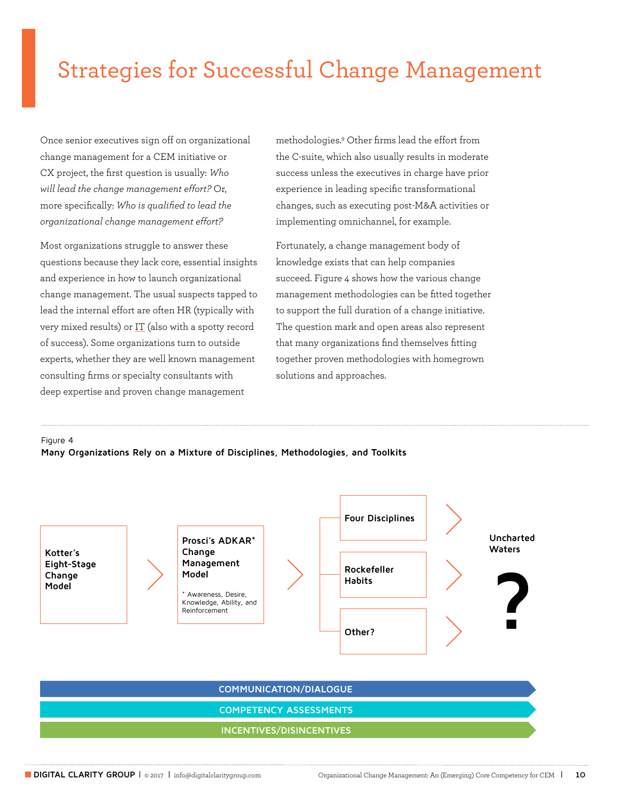## Strategies for Successful Change Management

Once senior executives sign off on organizational change management for a CEM initiative or CX project, the first question is usually: *Who will lead the change management effort?* Or, more specifically: *Who is qualified to lead the organizational change management effort?*

Most organizations struggle to answer these questions because they lack core, essential insights and experience in how to launch organizational change management. The usual suspects tapped to lead the internal effort are often HR (typically with very mixed results) or [IT](http://www.digitalclaritygroup.com/role-organizational-change-management/) (also with a spotty record of success). Some organizations turn to outside experts, whether they are well known management consulting firms or specialty consultants with deep expertise and proven change management

methodologies.9 Other firms lead the effort from the C-suite, which also usually results in moderate success unless the executives in charge have prior experience in leading specific transformational changes, such as executing post-M&A activities or implementing omnichannel, for example.

Fortunately, a change management body of knowledge exists that can help companies succeed. Figure 4 shows how the various change management methodologies can be fitted together to support the full duration of a change initiative. The question mark and open areas also represent that many organizations find themselves fitting together proven methodologies with homegrown solutions and approaches.

Figure 4

**Many Organizations Rely on a Mixture of Disciplines, Methodologies, and Toolkits**

**Kotter's Eight-Stage Change Model**

**Prosci's ADKAR\* Change Management Model**

\* Awareness, Desire, Knowledge, Ability, and Reinforcement



**COMMUNICATION/DIALOGUE**

**COMPETENCY ASSESSMENTS**

#### **INCENTIVES/DISINCENTIVES**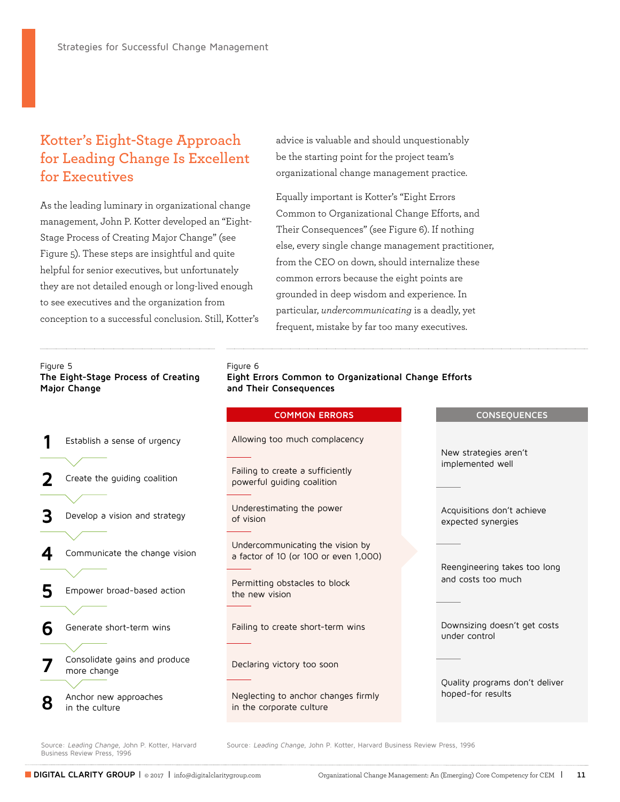## **Kotter's Eight-Stage Approach for Leading Change Is Excellent for Executives**

As the leading luminary in organizational change management, John P. Kotter developed an "Eight-Stage Process of Creating Major Change" (see Figure 5). These steps are insightful and quite helpful for senior executives, but unfortunately they are not detailed enough or long-lived enough to see executives and the organization from conception to a successful conclusion. Still, Kotter's advice is valuable and should unquestionably be the starting point for the project team's organizational change management practice.

Equally important is Kotter's "Eight Errors Common to Organizational Change Efforts, and Their Consequences" (see Figure 6). If nothing else, every single change management practitioner, from the CEO on down, should internalize these common errors because the eight points are grounded in deep wisdom and experience. In particular, *undercommunicating* is a deadly, yet frequent, mistake by far too many executives.

#### Figure 5

**The Eight-Stage Process of Creating Major Change**

- **1** Establish a ser
- Create the gu
- **3** Develop a visi
- **4** Communicate

**5** Empower broad

**6** Generate short

- **7** Consolidate gains and produce more change
- 8 Anchor new approaches in the culture

#### Figure 6

**Eight Errors Common to Organizational Change Efforts and Their Consequences**

|                   | <b>COMMON ERRORS</b>                                                      |                                                                                               | <b>CONSEQUENCES</b>                                 |
|-------------------|---------------------------------------------------------------------------|-----------------------------------------------------------------------------------------------|-----------------------------------------------------|
| nse of urgency    | Allowing too much complacency                                             | New strategies aren't<br>implemented well<br>Acquisitions don't achieve<br>expected synergies |                                                     |
| iding coalition   | Failing to create a sufficiently<br>powerful guiding coalition            |                                                                                               |                                                     |
| on and strategy   | Underestimating the power<br>of vision                                    |                                                                                               |                                                     |
| the change vision | Undercommunicating the vision by<br>a factor of 10 (or 100 or even 1,000) |                                                                                               | Reengineering takes too long<br>and costs too much  |
| ad-based action   | Permitting obstacles to block<br>the new vision                           |                                                                                               |                                                     |
| t-term wins       | Failing to create short-term wins                                         |                                                                                               | Downsizing doesn't get costs<br>under control       |
| ains and produce  | Declaring victory too soon                                                |                                                                                               |                                                     |
| pproaches         | Neglecting to anchor changes firmly<br>in the corporate culture           |                                                                                               | Quality programs don't deliver<br>hoped-for results |

Business Review Press, 1996

Source: Leading Change, John P. Kotter, Harvard Source: Leading Change, John P. Kotter, Harvard Business Review Press, 1996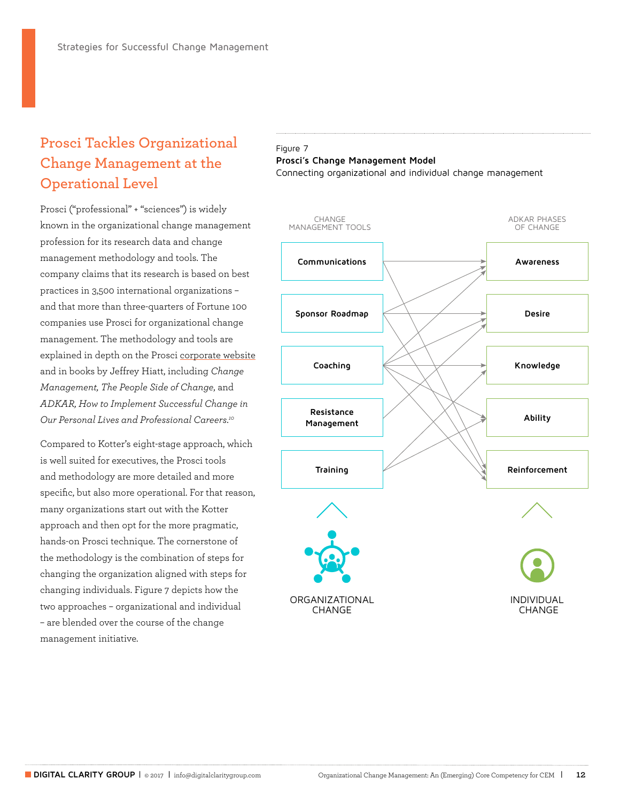## **Prosci Tackles Organizational Change Management at the Operational Level**

Prosci ("professional" + "sciences") is widely known in the organizational change management profession for its research data and change management methodology and tools. The company claims that its research is based on best practices in 3,500 international organizations – and that more than three-quarters of Fortune 100 companies use Prosci for organizational change management. The methodology and tools are explained in depth on the Prosci [corporate website](http://www.change-management.com/tutorial-communication-with-without.htm) and in books by Jeffrey Hiatt, including *Change Management, The People Side of Change*, and *ADKAR, How to Implement Successful Change in Our Personal Lives and Professional Careers*. *10*

Compared to Kotter's eight-stage approach, which is well suited for executives, the Prosci tools and methodology are more detailed and more specific, but also more operational. For that reason, many organizations start out with the Kotter approach and then opt for the more pragmatic, hands-on Prosci technique. The cornerstone of the methodology is the combination of steps for changing the organization aligned with steps for changing individuals. Figure 7 depicts how the two approaches – organizational and individual – are blended over the course of the change management initiative.

#### Figure 7 **Prosci's Change Management Model** Connecting organizational and individual change management

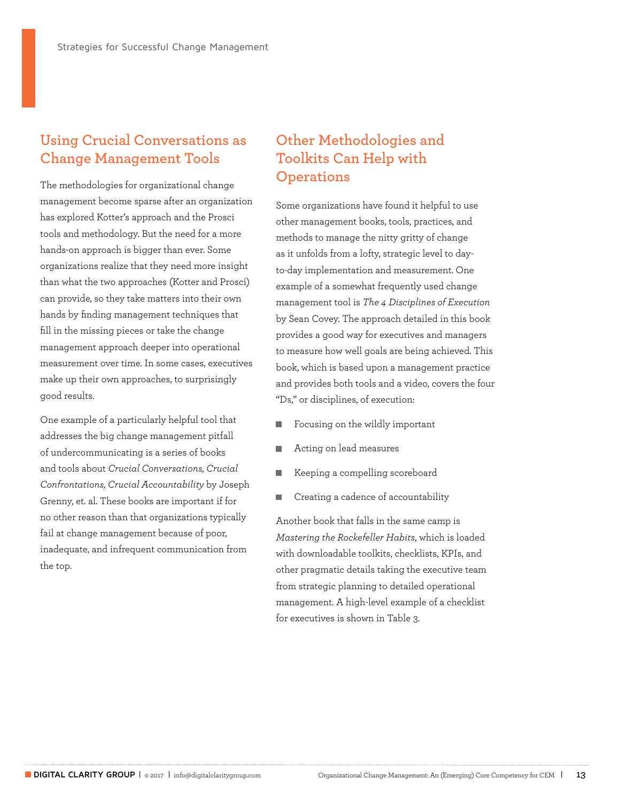## **Using Crucial Conversations as Change Management Tools**

The methodologies for organizational change management become sparse after an organization has explored Kotter's approach and the Prosci tools and methodology. But the need for a more hands-on approach is bigger than ever. Some organizations realize that they need more insight than what the two approaches (Kotter and Prosci) can provide, so they take matters into their own hands by finding management techniques that fill in the missing pieces or take the change management approach deeper into operational measurement over time. In some cases, executives make up their own approaches, to surprisingly good results.

One example of a particularly helpful tool that addresses the big change management pitfall of undercommunicating is a series of books and tools about *Crucial Conversations, Crucial Confrontations, Crucial Accountability* by Joseph Grenny, et. al. These books are important if for no other reason than that organizations typically fail at change management because of poor, inadequate, and infrequent communication from the top.

## **Other Methodologies and Toolkits Can Help with Operations**

Some organizations have found it helpful to use other management books, tools, practices, and methods to manage the nitty gritty of change as it unfolds from a lofty, strategic level to dayto-day implementation and measurement. One example of a somewhat frequently used change management tool is *The 4 Disciplines of Execution* by Sean Covey. The approach detailed in this book provides a good way for executives and managers to measure how well goals are being achieved. This book, which is based upon a management practice and provides both tools and a video, covers the four "Ds," or disciplines, of execution:

- Focusing on the wildly important
- Acting on lead measures п
- П Keeping a compelling scoreboard
- Creating a cadence of accountability

Another book that falls in the same camp is *Mastering the Rockefeller Habits*, which is loaded with downloadable toolkits, checklists, KPIs, and other pragmatic details taking the executive team from strategic planning to detailed operational management. A high-level example of a checklist for executives is shown in Table 3.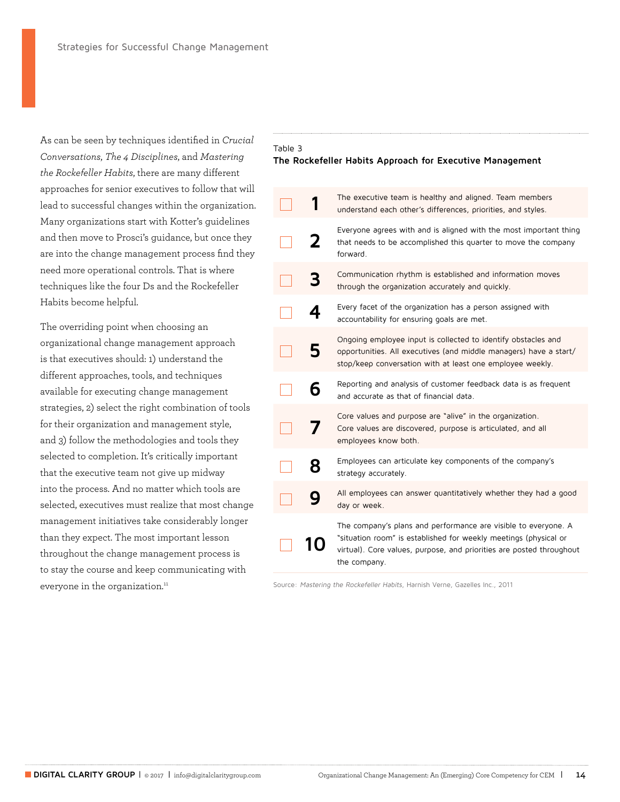As can be seen by techniques identified in *Crucial Conversations*, *The 4 Disciplines*, and *Mastering the Rockefeller Habits*, there are many different approaches for senior executives to follow that will lead to successful changes within the organization. Many organizations start with Kotter's guidelines and then move to Prosci's guidance, but once they are into the change management process find they need more operational controls. That is where techniques like the four Ds and the Rockefeller Habits become helpful.

The overriding point when choosing an organizational change management approach is that executives should: 1) understand the different approaches, tools, and techniques available for executing change management strategies, 2) select the right combination of tools for their organization and management style, and 3) follow the methodologies and tools they selected to completion. It's critically important that the executive team not give up midway into the process. And no matter which tools are selected, executives must realize that most change management initiatives take considerably longer than they expect. The most important lesson throughout the change management process is to stay the course and keep communicating with everyone in the organization.<sup>11</sup>

### Table 3

#### **The Rockefeller Habits Approach for Executive Management**

|   | The executive team is healthy and aligned. Team members<br>understand each other's differences, priorities, and styles.                                                                                                    |
|---|----------------------------------------------------------------------------------------------------------------------------------------------------------------------------------------------------------------------------|
| 2 | Everyone agrees with and is aligned with the most important thing<br>that needs to be accomplished this quarter to move the company<br>forward.                                                                            |
|   | Communication rhythm is established and information moves<br>through the organization accurately and quickly.                                                                                                              |
|   | Every facet of the organization has a person assigned with<br>accountability for ensuring goals are met.                                                                                                                   |
|   | Ongoing employee input is collected to identify obstacles and<br>opportunities. All executives (and middle managers) have a start/<br>stop/keep conversation with at least one employee weekly.                            |
| 6 | Reporting and analysis of customer feedback data is as frequent<br>and accurate as that of financial data.                                                                                                                 |
|   | Core values and purpose are "alive" in the organization.<br>Core values are discovered, purpose is articulated, and all<br>employees know both.                                                                            |
|   | Employees can articulate key components of the company's<br>strategy accurately.                                                                                                                                           |
|   | All employees can answer quantitatively whether they had a good<br>day or week.                                                                                                                                            |
|   | The company's plans and performance are visible to everyone. A<br>"situation room" is established for weekly meetings (physical or<br>virtual). Core values, purpose, and priorities are posted throughout<br>the company. |
|   |                                                                                                                                                                                                                            |

Source: Mastering the Rockefeller Habits, Harnish Verne, Gazelles Inc., 2011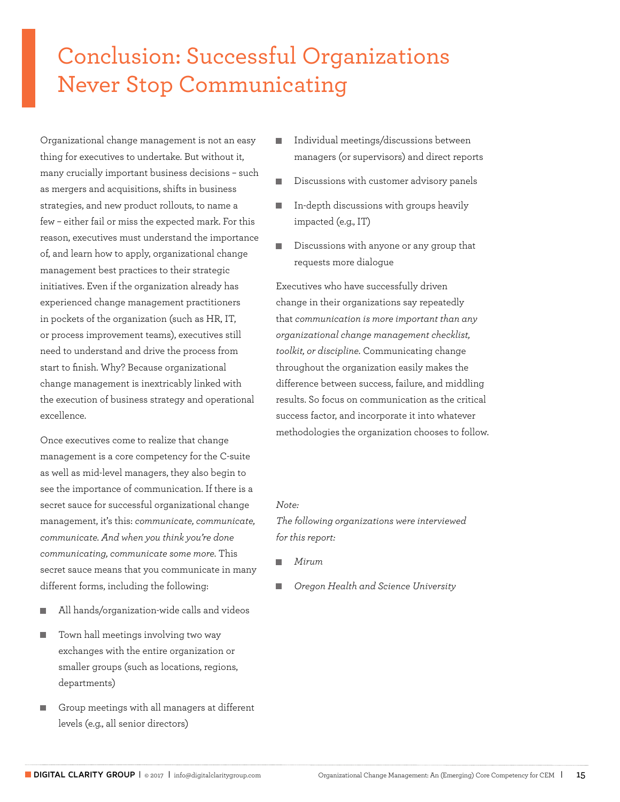## Conclusion: Successful Organizations Never Stop Communicating

Organizational change management is not an easy thing for executives to undertake. But without it, many crucially important business decisions – such as mergers and acquisitions, shifts in business strategies, and new product rollouts, to name a few – either fail or miss the expected mark. For this reason, executives must understand the importance of, and learn how to apply, organizational change management best practices to their strategic initiatives. Even if the organization already has experienced change management practitioners in pockets of the organization (such as HR, IT, or process improvement teams), executives still need to understand and drive the process from start to finish. Why? Because organizational change management is inextricably linked with the execution of business strategy and operational excellence.

Once executives come to realize that change management is a core competency for the C-suite as well as mid-level managers, they also begin to see the importance of communication. If there is a secret sauce for successful organizational change management, it's this: *communicate, communicate, communicate. And when you think you're done communicating, communicate some more.* This secret sauce means that you communicate in many different forms, including the following:

- All hands/organization-wide calls and videos
- **T** Town hall meetings involving two way exchanges with the entire organization or smaller groups (such as locations, regions, departments)
- Group meetings with all managers at different levels (e.g., all senior directors)
- Individual meetings/discussions between п managers (or supervisors) and direct reports
- Discussions with customer advisory panels
- In-depth discussions with groups heavily impacted (e.g., IT)
- Discussions with anyone or any group that requests more dialogue

Executives who have successfully driven change in their organizations say repeatedly that *communication is more important than any organizational change management checklist, toolkit, or discipline.* Communicating change throughout the organization easily makes the difference between success, failure, and middling results. So focus on communication as the critical success factor, and incorporate it into whatever methodologies the organization chooses to follow.

#### *Note:*

*The following organizations were interviewed for this report:* 

- *Mirum*
- *Oregon Health and Science University*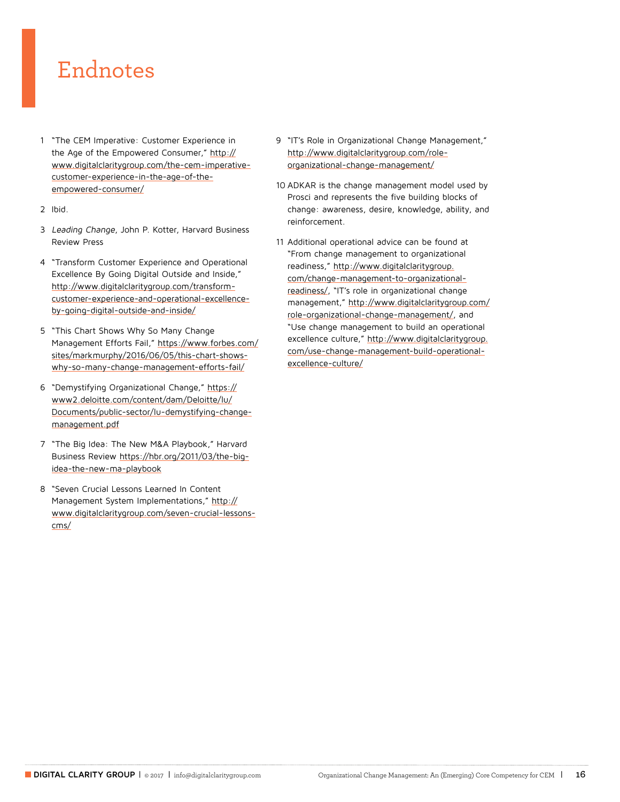## Endnotes

- 1 "The CEM Imperative: Customer Experience in the Age of the Empowered Consumer," [http://](http://www.digitalclaritygroup.com/the-cem-imperative-customer-experience-in-the-age-of-the-empowered-consumer/) [www.digitalclaritygroup.com/the-cem-imperative](http://www.digitalclaritygroup.com/the-cem-imperative-customer-experience-in-the-age-of-the-empowered-consumer/)[customer-experience-in-the-age-of-the](http://www.digitalclaritygroup.com/the-cem-imperative-customer-experience-in-the-age-of-the-empowered-consumer/)[empowered-consumer/](http://www.digitalclaritygroup.com/the-cem-imperative-customer-experience-in-the-age-of-the-empowered-consumer/)
- 2 Ibid.
- 3 Leading Change, John P. Kotter, Harvard Business Review Press
- 4 "Transform Customer Experience and Operational Excellence By Going Digital Outside and Inside," [http://www.digitalclaritygroup.com/transform](http://www.digitalclaritygroup.com/transform-customer-experience-and-operational-excellence-by-going-digital-outside-and-inside/)[customer-experience-and-operational-excellence](http://www.digitalclaritygroup.com/transform-customer-experience-and-operational-excellence-by-going-digital-outside-and-inside/)[by-going-digital-outside-and-inside/](http://www.digitalclaritygroup.com/transform-customer-experience-and-operational-excellence-by-going-digital-outside-and-inside/)
- 5 "This Chart Shows Why So Many Change Management Efforts Fail," [https://www.forbes.com/](https://www.forbes.com/sites/markmurphy/2016/06/05/this-chart-shows-why-so-many-change-management-ef) [sites/markmurphy/2016/06/05/this-chart-shows](https://www.forbes.com/sites/markmurphy/2016/06/05/this-chart-shows-why-so-many-change-management-ef)[why-so-many-change-management-efforts-fail/](https://www.forbes.com/sites/markmurphy/2016/06/05/this-chart-shows-why-so-many-change-management-ef)
- 6 "Demystifying Organizational Change," [https://](https://www2.deloitte.com/content/dam/Deloitte/lu/Documents/public-sector/lu-demystifying-change-management.pdf) [www2.deloitte.com/content/dam/Deloitte/lu/](https://www2.deloitte.com/content/dam/Deloitte/lu/Documents/public-sector/lu-demystifying-change-management.pdf) [Documents/public-sector/lu-demystifying-change](https://www2.deloitte.com/content/dam/Deloitte/lu/Documents/public-sector/lu-demystifying-change-management.pdf)[management.pdf](https://www2.deloitte.com/content/dam/Deloitte/lu/Documents/public-sector/lu-demystifying-change-management.pdf)
- 7 "The Big Idea: The New M&A Playbook," Harvard Business Review [https://hbr.org/2011/03/the-big](https://hbr.org/2011/03/the-big-idea-the-new-ma-playbook)[idea-the-new-ma-playbook](https://hbr.org/2011/03/the-big-idea-the-new-ma-playbook)
- 8 "Seven Crucial Lessons Learned In Content Management System Implementations," [http://](http://www.digitalclaritygroup.com/seven-crucial-lessons-cms/) [www.digitalclaritygroup.com/seven-crucial-lessons](http://www.digitalclaritygroup.com/seven-crucial-lessons-cms/)[cms/](http://www.digitalclaritygroup.com/seven-crucial-lessons-cms/)
- 9 "IT's Role in Organizational Change Management," [http://www.digitalclaritygroup.com/role](http://www.digitalclaritygroup.com/role-organizational-change-management/)[organizational-change-management/](http://www.digitalclaritygroup.com/role-organizational-change-management/)
- 10 ADKAR is the change management model used by Prosci and represents the five building blocks of change: awareness, desire, knowledge, ability, and reinforcement.
- 11 Additional operational advice can be found at "From change management to organizational readiness," [http://www.digitalclaritygroup.](http://www.digitalclaritygroup.com/change-management-to-organizational-readiness/) [com/change-management-to-organizational](http://www.digitalclaritygroup.com/change-management-to-organizational-readiness/)[readiness/,](http://www.digitalclaritygroup.com/change-management-to-organizational-readiness/) "IT's role in organizational change management," [http://www.digitalclaritygroup.com/](http://www.digitalclaritygroup.com/role-organizational-change-management/) [role-organizational-change-management/,](http://www.digitalclaritygroup.com/role-organizational-change-management/) and "Use change management to build an operational excellence culture," [http://www.digitalclaritygroup.](http://www.digitalclaritygroup.com/use-change-management-build-operational-excellence-culture/) [com/use-change-management-build-operational](http://www.digitalclaritygroup.com/use-change-management-build-operational-excellence-culture/)[excellence-culture/](http://www.digitalclaritygroup.com/use-change-management-build-operational-excellence-culture/)